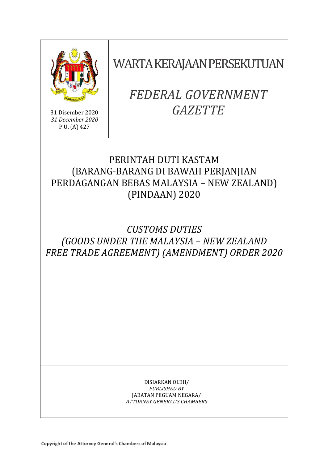

31 Disember 2020 *31 December 2020* P.U. (A) 427

WARTA KERAJAAN PERSEKUTUAN

# *FEDERAL GOVERNMENT GAZETTE*

### PERINTAH DUTI KASTAM (BARANG-BARANG DI BAWAH PERJANJIAN PERDAGANGAN BEBAS MALAYSIA – NEW ZEALAND) (PINDAAN) 2020

## *CUSTOMS DUTIES (GOODS UNDER THE MALAYSIA* – *NEW ZEALAND FREE TRADE AGREEMENT) (AMENDMENT) ORDER 2020*

#### DISIARKAN OLEH/ *PUBLISHED BY* JABATAN PEGUAM NEGARA/ *ATTORNEY GENERAL'S CHAMBERS*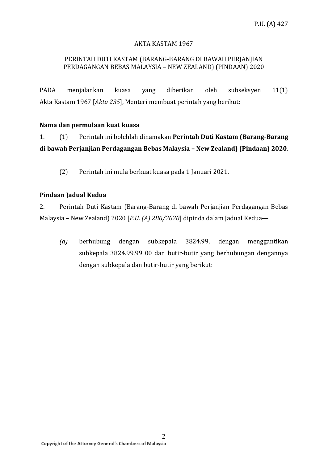### AKTA KASTAM 1967

#### PERINTAH DUTI KASTAM (BARANG-BARANG DI BAWAH PERJANJIAN PERDAGANGAN BEBAS MALAYSIA – NEW ZEALAND) (PINDAAN) 2020

PADA menjalankan kuasa yang diberikan oleh subseksyen 11(1) Akta Kastam 1967 [*Akta 235*], Menteri membuat perintah yang berikut:

#### **Nama dan permulaan kuat kuasa**

1. (1) Perintah ini bolehlah dinamakan **Perintah Duti Kastam (Barang-Barang di bawah Perjanjian Perdagangan Bebas Malaysia – New Zealand) (Pindaan) 2020**.

(2) Perintah ini mula berkuat kuasa pada 1 Januari 2021.

#### **Pindaan Jadual Kedua**

2. Perintah Duti Kastam (Barang-Barang di bawah Perjanjian Perdagangan Bebas Malaysia – New Zealand) 2020 [*P.U. (A) 286/2020*] dipinda dalam Jadual Kedua—

*(a)* berhubung dengan subkepala 3824.99, dengan menggantikan subkepala 3824.99.99 00 dan butir-butir yang berhubungan dengannya dengan subkepala dan butir-butir yang berikut: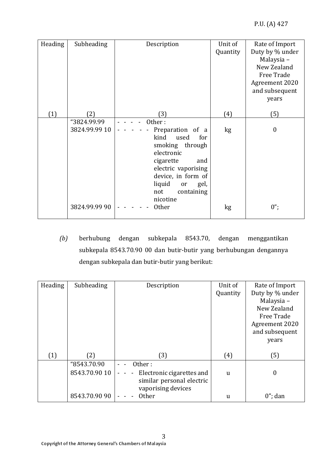| Heading | Subheading    | Description                                                                                                                                                                                        | Unit of<br>Quantity | Rate of Import<br>Duty by % under<br>Malaysia-<br>New Zealand<br>Free Trade<br>Agreement 2020<br>and subsequent |
|---------|---------------|----------------------------------------------------------------------------------------------------------------------------------------------------------------------------------------------------|---------------------|-----------------------------------------------------------------------------------------------------------------|
|         | (2)           |                                                                                                                                                                                                    |                     | years                                                                                                           |
| (1)     |               | (3)                                                                                                                                                                                                | (4)                 | (5)                                                                                                             |
|         | "3824.99.99   | Other:                                                                                                                                                                                             |                     |                                                                                                                 |
|         | 3824.99.99 10 | Preparation of a<br>kind<br>used<br>for<br>smoking through<br>electronic<br>cigarette<br>and<br>electric vaporising<br>device, in form of<br>liquid<br>or<br>gel,<br>not<br>containing<br>nicotine | kg                  | $\boldsymbol{0}$                                                                                                |
|         | 3824.99.99 90 | <b>Other</b>                                                                                                                                                                                       | kg                  | $0$ ";                                                                                                          |

*(b)* berhubung dengan subkepala 8543.70, dengan menggantikan subkepala 8543.70.90 00 dan butir-butir yang berhubungan dengannya dengan subkepala dan butir-butir yang berikut:

| Heading | Subheading    | Description                                 | Unit of  | Rate of Import  |
|---------|---------------|---------------------------------------------|----------|-----------------|
|         |               |                                             | Quantity | Duty by % under |
|         |               |                                             |          | Malaysia -      |
|         |               |                                             |          | New Zealand     |
|         |               |                                             |          | Free Trade      |
|         |               |                                             |          | Agreement 2020  |
|         |               |                                             |          | and subsequent  |
|         |               |                                             |          | years           |
|         |               |                                             |          |                 |
| (1)     | (2)           | (3)                                         | (4)      | (5)             |
|         | "8543.70.90   | Other:                                      |          |                 |
|         | 8543.70.90 10 | Electronic cigarettes and<br>$\blacksquare$ | u        | 0               |
|         |               | similar personal electric                   |          |                 |
|         |               | vaporising devices                          |          |                 |
|         | 8543.70.90 90 | <b>Other</b>                                | u        | $0$ "; dan      |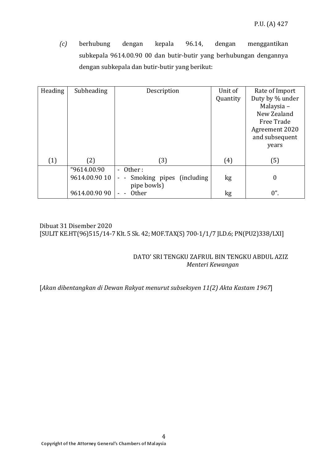*(c)* berhubung dengan kepala 96.14, dengan menggantikan subkepala 9614.00.90 00 dan butir-butir yang berhubungan dengannya dengan subkepala dan butir-butir yang berikut:

| Heading | Subheading    | Description                                | Unit of  | Rate of Import   |
|---------|---------------|--------------------------------------------|----------|------------------|
|         |               |                                            | Quantity | Duty by % under  |
|         |               |                                            |          | Malaysia-        |
|         |               |                                            |          | New Zealand      |
|         |               |                                            |          | Free Trade       |
|         |               |                                            |          |                  |
|         |               |                                            |          | Agreement 2020   |
|         |               |                                            |          | and subsequent   |
|         |               |                                            |          | years            |
|         |               |                                            |          |                  |
| (1)     | (2)           | (3)                                        | (4)      | (5)              |
|         |               |                                            |          |                  |
|         | "9614.00.90   | - Other:                                   |          |                  |
|         | 9614.00.90 10 | Smoking pipes (including<br>$\sim$ $ \sim$ | kg       | $\boldsymbol{0}$ |
|         |               | pipe bowls)                                |          |                  |
|         | 9614.00.90 90 | <b>Other</b>                               |          | $0$ ".           |
|         |               |                                            | kg       |                  |

Dibuat 31 Disember 2020 [SULIT KE.HT(96)515/14-7 Klt. 5 Sk. 42; MOF.TAX(S) 700-1/1/7 JLD.6; PN(PU2)338/LXI]

#### DATO' SRI TENGKU ZAFRUL BIN TENGKU ABDUL AZIZ  *Menteri Kewangan*

[*Akan dibentangkan di Dewan Rakyat menurut subseksyen 11(2) Akta Kastam 1967*]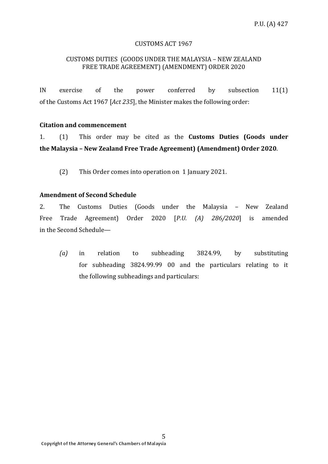#### CUSTOMS ACT 1967

#### CUSTOMS DUTIES (GOODS UNDER THE MALAYSIA – NEW ZEALAND FREE TRADE AGREEMENT) (AMENDMENT) ORDER 2020

IN exercise of the power conferred by subsection 11(1) of the Customs Act 1967 [*Act 235*], the Minister makes the following order:

#### **Citation and commencement**

1. (1) This order may be cited as the **Customs Duties (Goods under the Malaysia – New Zealand Free Trade Agreement) (Amendment) Order 2020**.

(2) This Order comes into operation on 1 January 2021.

#### **Amendment of Second Schedule**

2. The Customs Duties (Goods under the Malaysia – New Zealand Free Trade Agreement) Order 2020 [*P.U. (A) 286/2020*] is amended in the Second Schedule—

*(a)* in relation to subheading 3824.99, by substituting for subheading 3824.99.99 00 and the particulars relating to it the following subheadings and particulars: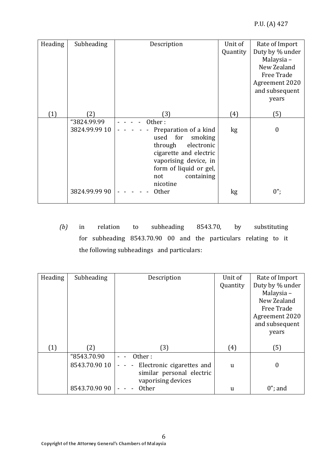| Heading | Subheading                   | Description                                                                                                                                                                                   | Unit of<br>Quantity | Rate of Import<br>Duty by % under<br>Malaysia -<br>New Zealand<br>Free Trade<br>Agreement 2020<br>and subsequent<br>years |
|---------|------------------------------|-----------------------------------------------------------------------------------------------------------------------------------------------------------------------------------------------|---------------------|---------------------------------------------------------------------------------------------------------------------------|
| (1)     | (2)                          | (3)                                                                                                                                                                                           | (4)                 | (5)                                                                                                                       |
|         | "3824.99.99<br>3824.99.99 10 | Other:<br>Preparation of a kind<br>used for<br>smoking<br>through<br>electronic<br>cigarette and electric<br>vaporising device, in<br>form of liquid or gel,<br>containing<br>not<br>nicotine | kg                  | 0                                                                                                                         |
|         | 3824.99.99 90                | <b>Other</b>                                                                                                                                                                                  | kg                  | $0$ ";                                                                                                                    |

*(b)* in relation to subheading 8543.70, by substituting for subheading 8543.70.90 00 and the particulars relating to it the following subheadings and particulars:

| Heading | Subheading    | Description                                 | Unit of     | Rate of Import  |
|---------|---------------|---------------------------------------------|-------------|-----------------|
|         |               |                                             | Quantity    | Duty by % under |
|         |               |                                             |             | Malaysia -      |
|         |               |                                             |             | New Zealand     |
|         |               |                                             |             | Free Trade      |
|         |               |                                             |             | Agreement 2020  |
|         |               |                                             |             | and subsequent  |
|         |               |                                             |             | years           |
|         |               |                                             |             |                 |
| (1)     | (2)           | (3)                                         | (4)         | (5)             |
|         | "8543.70.90   | Other:                                      |             |                 |
|         | 8543.70.90 10 | Electronic cigarettes and<br>$\blacksquare$ | $\mathbf u$ | $\overline{0}$  |
|         |               | similar personal electric                   |             |                 |
|         |               | vaporising devices                          |             |                 |
|         | 8543.70.90 90 | <b>Other</b>                                | u           | $0$ "; and      |